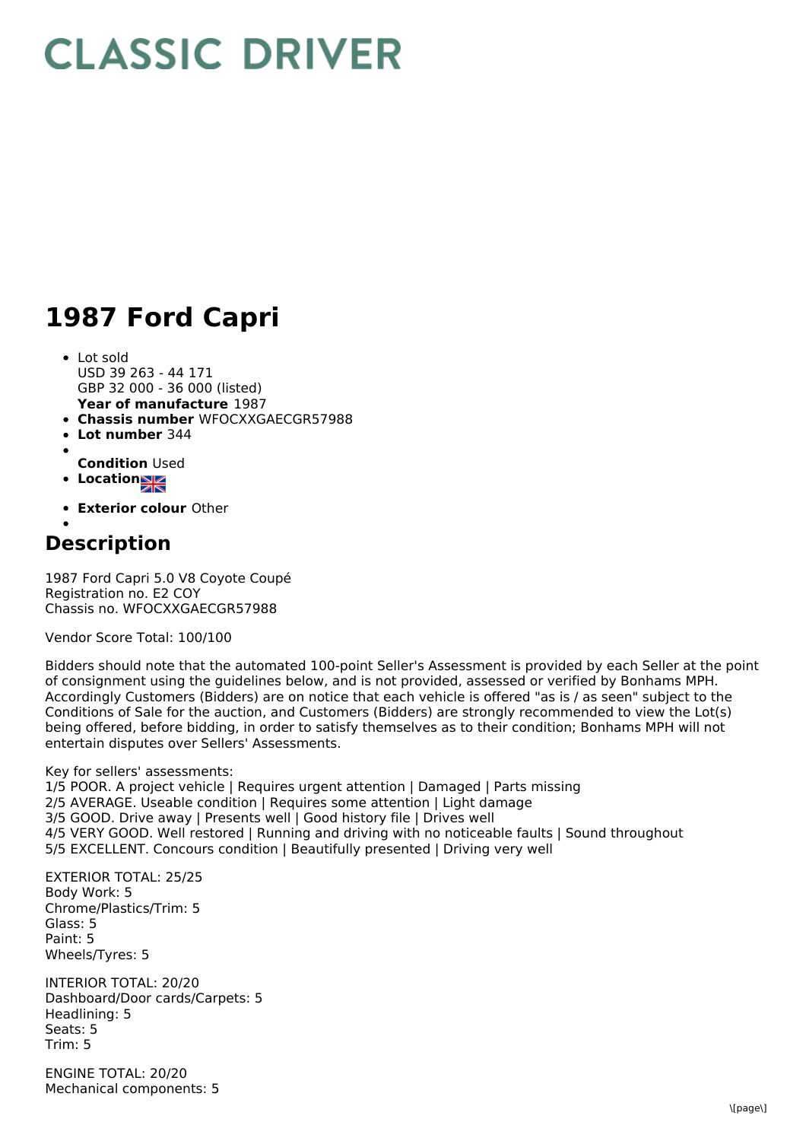## **CLASSIC DRIVER**

## **1987 Ford Capri**

- **Year of manufacture** 1987 • Lot sold USD 39 263 - 44 171 GBP 32 000 - 36 000 (listed)
- **Chassis number** WFOCXXGAECGR57988
- $\bullet$ **Lot number** 344
- **Condition** Used
- **Location**
- **Exterior colour** Other

## **Description**

1987 Ford Capri 5.0 V8 Coyote Coupé Registration no. E2 COY Chassis no. WFOCXXGAECGR57988

Vendor Score Total: 100/100

Bidders should note that the automated 100-point Seller's Assessment is provided by each Seller at the point of consignment using the guidelines below, and is not provided, assessed or verified by Bonhams MPH. Accordingly Customers (Bidders) are on notice that each vehicle is offered "as is / as seen" subject to the Conditions of Sale for the auction, and Customers (Bidders) are strongly recommended to view the Lot(s) being offered, before bidding, in order to satisfy themselves as to their condition; Bonhams MPH will not entertain disputes over Sellers' Assessments.

Key for sellers' assessments: 1/5 POOR. A project vehicle | Requires urgent attention | Damaged | Parts missing 2/5 AVERAGE. Useable condition | Requires some attention | Light damage 3/5 GOOD. Drive away | Presents well | Good history file | Drives well 4/5 VERY GOOD. Well restored | Running and driving with no noticeable faults | Sound throughout 5/5 EXCELLENT. Concours condition | Beautifully presented | Driving very well

EXTERIOR TOTAL: 25/25 Body Work: 5 Chrome/Plastics/Trim: 5 Glass: 5 Paint: 5 Wheels/Tyres: 5

INTERIOR TOTAL: 20/20 Dashboard/Door cards/Carpets: 5 Headlining: 5 Seats: 5 Trim: 5

ENGINE TOTAL: 20/20 Mechanical components: 5